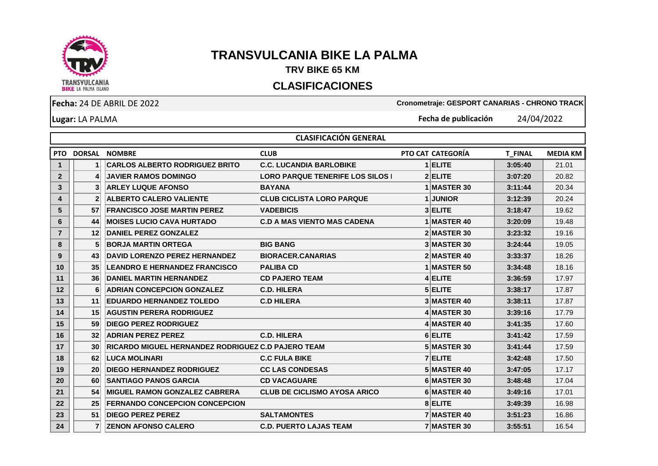

## **TRANSVULCANIA BIKE LA PALMA**

## **TRV BIKE 65 KM**

## **CLASIFICACIONES**

**Lugar:** LA PALMA

**Fecha:** 24 DE ABRIL DE 2022 **Cronometraje: GESPORT CANARIAS - CHRONO TRACK**

**Fecha de publicación** 24/04/2022

|                | <b>CLASIFICACIÓN GENERAL</b> |                                                           |                                         |  |                   |                |                 |  |  |  |
|----------------|------------------------------|-----------------------------------------------------------|-----------------------------------------|--|-------------------|----------------|-----------------|--|--|--|
|                | <b>PTO DORSAL</b>            | <b>NOMBRE</b>                                             | <b>CLUB</b>                             |  | PTO CAT CATEGORÍA | <b>T FINAL</b> | <b>MEDIA KM</b> |  |  |  |
| $\mathbf 1$    | 1                            | <b>CARLOS ALBERTO RODRIGUEZ BRITO</b>                     | <b>C.C. LUCANDIA BARLOBIKE</b>          |  | $1$ ELITE         | 3:05:40        | 21.01           |  |  |  |
| $\overline{2}$ | 4                            | <b>JAVIER RAMOS DOMINGO</b>                               | <b>LORO PARQUE TENERIFE LOS SILOS  </b> |  | 2 ELITE           | 3:07:20        | 20.82           |  |  |  |
| 3              | 3                            | <b>ARLEY LUQUE AFONSO</b>                                 | <b>BAYANA</b>                           |  | 1 MASTER 30       | 3:11:44        | 20.34           |  |  |  |
| 4              | $\overline{2}$               | <b>ALBERTO CALERO VALIENTE</b>                            | <b>CLUB CICLISTA LORO PARQUE</b>        |  | 1 JUNIOR          | 3:12:39        | 20.24           |  |  |  |
| 5              | 57                           | <b>FRANCISCO JOSE MARTIN PEREZ</b>                        | <b>VADEBICIS</b>                        |  | 3 ELITE           | 3:18:47        | 19.62           |  |  |  |
| 6              | 44                           | <b>MOISES LUCIO CAVA HURTADO</b>                          | <b>C.D A MAS VIENTO MAS CADENA</b>      |  | 1 MASTER 40       | 3:20:09        | 19.48           |  |  |  |
| $\overline{7}$ | 12                           | <b>DANIEL PEREZ GONZALEZ</b>                              |                                         |  | 2 MASTER 30       | 3:23:32        | 19.16           |  |  |  |
| 8              | 5                            | <b>BORJA MARTIN ORTEGA</b>                                | <b>BIG BANG</b>                         |  | 3 MASTER 30       | 3:24:44        | 19.05           |  |  |  |
| 9              | 43                           | <b>DAVID LORENZO PEREZ HERNANDEZ</b>                      | <b>BIORACER.CANARIAS</b>                |  | 2 MASTER 40       | 3:33:37        | 18.26           |  |  |  |
| 10             | 35                           | <b>LEANDRO E HERNANDEZ FRANCISCO</b>                      | <b>PALIBA CD</b>                        |  | 1 MASTER 50       | 3:34:48        | 18.16           |  |  |  |
| 11             | 36                           | <b>DANIEL MARTIN HERNANDEZ</b>                            | <b>CD PAJERO TEAM</b>                   |  | 4 ELITE           | 3:36:59        | 17.97           |  |  |  |
| 12             | 6                            | <b>ADRIAN CONCEPCION GONZALEZ</b>                         | <b>C.D. HILERA</b>                      |  | 5 ELITE           | 3:38:17        | 17.87           |  |  |  |
| 13             | 11                           | <b>EDUARDO HERNANDEZ TOLEDO</b>                           | <b>C.D HILERA</b>                       |  | 3 MASTER 40       | 3:38:11        | 17.87           |  |  |  |
| 14             | 15                           | <b>AGUSTIN PERERA RODRIGUEZ</b>                           |                                         |  | 4 MASTER 30       | 3:39:16        | 17.79           |  |  |  |
| 15             | 59                           | <b>DIEGO PEREZ RODRIGUEZ</b>                              |                                         |  | 4 MASTER 40       | 3:41:35        | 17.60           |  |  |  |
| 16             | 32                           | <b>ADRIAN PEREZ PEREZ</b>                                 | <b>C.D. HILERA</b>                      |  | 6 ELITE           | 3:41:42        | 17.59           |  |  |  |
| 17             | 30                           | <b>RICARDO MIGUEL HERNANDEZ RODRIGUEZ C.D PAJERO TEAM</b> |                                         |  | 5 MASTER 30       | 3:41:44        | 17.59           |  |  |  |
| 18             | 62                           | <b>LUCA MOLINARI</b>                                      | <b>C.C FULA BIKE</b>                    |  | <b>7 ELITE</b>    | 3:42:48        | 17.50           |  |  |  |
| 19             | 20                           | <b>DIEGO HERNANDEZ RODRIGUEZ</b>                          | <b>CC LAS CONDESAS</b>                  |  | 5 MASTER 40       | 3:47:05        | 17.17           |  |  |  |
| 20             | 60                           | <b>SANTIAGO PANOS GARCIA</b>                              | <b>CD VACAGUARE</b>                     |  | 6 MASTER 30       | 3:48:48        | 17.04           |  |  |  |
| 21             | 54                           | <b>MIGUEL RAMON GONZALEZ CABRERA</b>                      | <b>CLUB DE CICLISMO AYOSA ARICO</b>     |  | 6 MASTER 40       | 3:49:16        | 17.01           |  |  |  |
| 22             | 25                           | <b>FERNANDO CONCEPCION CONCEPCION</b>                     |                                         |  | 8 ELITE           | 3:49:39        | 16.98           |  |  |  |
| 23             | 51                           | <b>DIEGO PEREZ PEREZ</b>                                  | <b>SALTAMONTES</b>                      |  | 7 MASTER 40       | 3:51:23        | 16.86           |  |  |  |
| 24             | $\overline{7}$               | <b>ZENON AFONSO CALERO</b>                                | <b>C.D. PUERTO LAJAS TEAM</b>           |  | 7 MASTER 30       | 3:55:51        | 16.54           |  |  |  |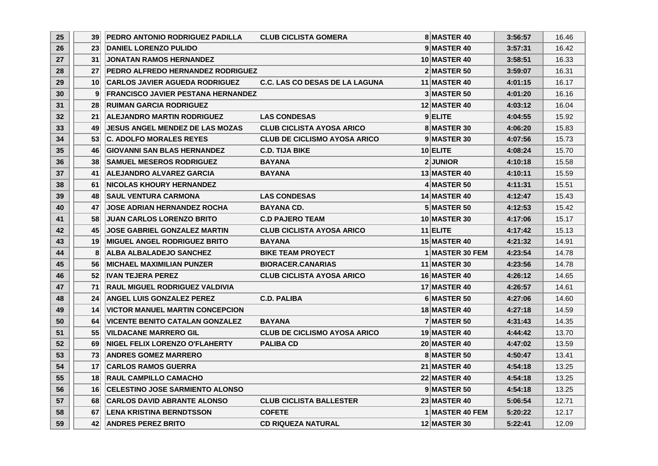| 25 <sub>2</sub> | 39 <sub>l</sub> | <b>IPEDRO ANTONIO RODRIGUEZ PADILLA</b>   | <b>CLUB CICLISTA GOMERA</b>           | <b>8 MASTER 40</b>  | 3:56:57 | 16.46 |
|-----------------|-----------------|-------------------------------------------|---------------------------------------|---------------------|---------|-------|
| 26              | 23 <sup>1</sup> | <b>DANIEL LORENZO PULIDO</b>              |                                       | 9 MASTER 40         | 3:57:31 | 16.42 |
| 27              | 31 <sup>1</sup> | <b>JONATAN RAMOS HERNANDEZ</b>            |                                       | <b>10 MASTER 40</b> | 3:58:51 | 16.33 |
| 28              | 27 <sub>l</sub> | <b>PEDRO ALFREDO HERNANDEZ RODRIGUEZ</b>  |                                       | 2 MASTER 50         | 3:59:07 | 16.31 |
| 29              | 10 <sup>1</sup> | <b>CARLOS JAVIER AGUEDA RODRIGUEZ</b>     | <b>C.C. LAS CO DESAS DE LA LAGUNA</b> | 11 MASTER 40        | 4:01:15 | 16.17 |
| 30              | 9               | <b>FRANCISCO JAVIER PESTANA HERNANDEZ</b> |                                       | 3 MASTER 50         | 4:01:20 | 16.16 |
| 31              | 28 <sup>1</sup> | <b>RUIMAN GARCIA RODRIGUEZ</b>            |                                       | <b>12 MASTER 40</b> | 4:03:12 | 16.04 |
| 32              | 21 <sup>1</sup> | <b>ALEJANDRO MARTIN RODRIGUEZ</b>         | <b>LAS CONDESAS</b>                   | 9 ELITE             | 4:04:55 | 15.92 |
| 33              | 49              | <b>JESUS ANGEL MENDEZ DE LAS MOZAS</b>    | <b>CLUB CICLISTA AYOSA ARICO</b>      | 8 MASTER 30         | 4:06:20 | 15.83 |
| 34              | 53 <sub>1</sub> | <b>C. ADOLFO MORALES REYES</b>            | <b>CLUB DE CICLISMO AYOSA ARICO</b>   | 9 MASTER 30         | 4:07:56 | 15.73 |
| 35              | 46              | <b>GIOVANNI SAN BLAS HERNANDEZ</b>        | <b>C.D. TIJA BIKE</b>                 | $10$ ELITE          | 4:08:24 | 15.70 |
| 36              | 38 <sup>1</sup> | <b>SAMUEL MESEROS RODRIGUEZ</b>           | <b>BAYANA</b>                         | <b>2JUNIOR</b>      | 4:10:18 | 15.58 |
| 37              | 41              | <b>ALEJANDRO ALVAREZ GARCIA</b>           | <b>BAYANA</b>                         | 13 MASTER 40        | 4:10:11 | 15.59 |
| 38              | 61              | <b>INICOLAS KHOURY HERNANDEZ</b>          |                                       | 4 MASTER 50         | 4:11:31 | 15.51 |
| 39              | 48              | <b>SAUL VENTURA CARMONA</b>               | <b>LAS CONDESAS</b>                   | 14 MASTER 40        | 4:12:47 | 15.43 |
| 40              | 47              | <b>JOSE ADRIAN HERNANDEZ ROCHA</b>        | <b>BAYANA CD.</b>                     | 5 MASTER 50         | 4:12:53 | 15.42 |
| 41              | 58 <sup>1</sup> | <b>JUAN CARLOS LORENZO BRITO</b>          | <b>C.D PAJERO TEAM</b>                | <b>10 MASTER 30</b> | 4:17:06 | 15.17 |
| 42              | 45              | <b>JOSE GABRIEL GONZALEZ MARTIN</b>       | <b>CLUB CICLISTA AYOSA ARICO</b>      | $11$ ELITE          | 4:17:42 | 15.13 |
| 43              | 19 <sup>1</sup> | <b>MIGUEL ANGEL RODRIGUEZ BRITO</b>       | <b>BAYANA</b>                         | <b>15 MASTER 40</b> | 4:21:32 | 14.91 |
| 44              | 8               | <b>ALBA ALBALADEJO SANCHEZ</b>            | <b>BIKE TEAM PROYECT</b>              | 1 MASTER 30 FEM     | 4:23:54 | 14.78 |
| 45              | 561             | <b>IMICHAEL MAXIMILIAN PUNZER</b>         | <b>BIORACER.CANARIAS</b>              | <b>11 MASTER 30</b> | 4:23:56 | 14.78 |
| 46              | 52              | <b>IVAN TEJERA PEREZ</b>                  | <b>CLUB CICLISTA AYOSA ARICO</b>      | 16 MASTER 40        | 4:26:12 | 14.65 |
| 47              | 71              | <b>IRAUL MIGUEL RODRIGUEZ VALDIVIA</b>    |                                       | <b>17 MASTER 40</b> | 4:26:57 | 14.61 |
| 48              | 24 <sup>1</sup> | <b>ANGEL LUIS GONZALEZ PEREZ</b>          | <b>C.D. PALIBA</b>                    | 6 MASTER 50         | 4:27:06 | 14.60 |
| 49              | 14 <sup>1</sup> | <b>VICTOR MANUEL MARTIN CONCEPCION</b>    |                                       | <b>18 MASTER 40</b> | 4:27:18 | 14.59 |
| 50              | 64              | <b>VICENTE BENITO CATALAN GONZALEZ</b>    | <b>BAYANA</b>                         | 7 MASTER 50         | 4:31:43 | 14.35 |
| 51              | 55              | <b>VILDACANE MARRERO GIL</b>              | <b>CLUB DE CICLISMO AYOSA ARICO</b>   | <b>19 MASTER 40</b> | 4:44:42 | 13.70 |
| 52              | 69              | <b>INIGEL FELIX LORENZO O'FLAHERTY</b>    | <b>PALIBA CD</b>                      | 20 MASTER 40        | 4:47:02 | 13.59 |
| 53              | 73              | <b>ANDRES GOMEZ MARRERO</b>               |                                       | 8 MASTER 50         | 4:50:47 | 13.41 |
| 54              | 17 <sup>1</sup> | <b>CARLOS RAMOS GUERRA</b>                |                                       | <b>21 MASTER 40</b> | 4:54:18 | 13.25 |
| 55              | 18 <sup>1</sup> | <b>RAUL CAMPILLO CAMACHO</b>              |                                       | <b>22 MASTER 40</b> | 4:54:18 | 13.25 |
| 56              | 16 <sup>1</sup> | <b>CELESTINO JOSE SARMIENTO ALONSO</b>    |                                       | 9 MASTER 50         | 4:54:18 | 13.25 |
| 57              | 68              | <b>CARLOS DAVID ABRANTE ALONSO</b>        | <b>CLUB CICLISTA BALLESTER</b>        | <b>23 MASTER 40</b> | 5:06:54 | 12.71 |
| 58              | 67 <sup>1</sup> | <b>LENA KRISTINA BERNDTSSON</b>           | <b>COFETE</b>                         | 1 MASTER 40 FEM     | 5:20:22 | 12.17 |
| 59              | 421             | <b>ANDRES PEREZ BRITO</b>                 | <b>CD RIQUEZA NATURAL</b>             | <b>12 MASTER 30</b> | 5:22:41 | 12.09 |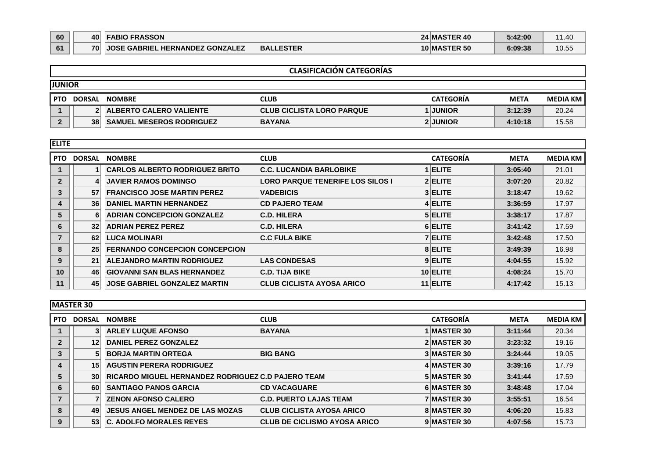| 60 | 40 | <b>FABIO FRASSON</b>                   |                  | <b>24 MASTER 40</b> | 5:42:00 | 1.40  |
|----|----|----------------------------------------|------------------|---------------------|---------|-------|
| 61 | 70 | <b>JOSE GABRIEL HERNANDEZ GONZALEZ</b> | <b>BALLESTER</b> | <b>10 MASTER 50</b> | 6:09:38 | 10.55 |

|            | <b>CLASIFICACIÓN CATEGORÍAS</b> |                                 |                                  |                  |             |                 |  |  |  |  |
|------------|---------------------------------|---------------------------------|----------------------------------|------------------|-------------|-----------------|--|--|--|--|
|            | <b>JUNIOR</b>                   |                                 |                                  |                  |             |                 |  |  |  |  |
| <b>PTO</b> | <b>DORSAL</b>                   | <b>NOMBRE</b>                   | <b>CLUB</b>                      | <b>CATEGORÍA</b> | <b>META</b> | <b>MEDIA KM</b> |  |  |  |  |
|            |                                 | <b>ALBERTO CALERO VALIENTE</b>  | <b>CLUB CICLISTA LORO PARQUE</b> | 1 JUNIOR         | 3:12:39     | 20.24           |  |  |  |  |
|            | 38                              | <b>SAMUEL MESEROS RODRIGUEZ</b> | <b>BAYANA</b>                    | 2 JUNIOR         | 4:10:18     | 15.58           |  |  |  |  |

| <b>ELITE</b> |               |                                       |                                         |                  |             |                 |
|--------------|---------------|---------------------------------------|-----------------------------------------|------------------|-------------|-----------------|
| <b>PTO</b>   | <b>DORSAL</b> | <b>NOMBRE</b>                         | <b>CLUB</b>                             | <b>CATEGORÍA</b> | <b>META</b> | <b>MEDIA KM</b> |
|              |               | <b>CARLOS ALBERTO RODRIGUEZ BRITO</b> | <b>C.C. LUCANDIA BARLOBIKE</b>          | <b>ELITE</b>     | 3:05:40     | 21.01           |
| $\mathbf{2}$ |               | <b>JAVIER RAMOS DOMINGO</b>           | <b>LORO PARQUE TENERIFE LOS SILOS  </b> | 2 ELITE          | 3:07:20     | 20.82           |
| 3            | 57            | <b>FRANCISCO JOSE MARTIN PEREZ</b>    | <b>VADEBICIS</b>                        | 3 ELITE          | 3:18:47     | 19.62           |
| 4            | 36            | DANIEL MARTIN HERNANDEZ               | <b>CD PAJERO TEAM</b>                   | 4 ELITE          | 3:36:59     | 17.97           |
| 5            | 6             | <b>ADRIAN CONCEPCION GONZALEZ</b>     | <b>C.D. HILERA</b>                      | 5 ELITE          | 3:38:17     | 17.87           |
| 6            | 32            | <b>ADRIAN PEREZ PEREZ</b>             | <b>C.D. HILERA</b>                      | 6 ELITE          | 3:41:42     | 17.59           |
|              | 62            | <b>LUCA MOLINARI</b>                  | <b>C.C FULA BIKE</b>                    | 7 ELITE          | 3:42:48     | 17.50           |
| 8            | 25            | <b>FERNANDO CONCEPCION CONCEPCION</b> |                                         | 8 ELITE          | 3:49:39     | 16.98           |
| 9            | 21            | <b>ALEJANDRO MARTIN RODRIGUEZ</b>     | <b>LAS CONDESAS</b>                     | 9 ELITE          | 4:04:55     | 15.92           |
| 10           | 46            | <b>GIOVANNI SAN BLAS HERNANDEZ</b>    | <b>C.D. TIJA BIKE</b>                   | 10 ELITE         | 4:08:24     | 15.70           |
| 11           | 45            | <b>JOSE GABRIEL GONZALEZ MARTIN</b>   | <b>CLUB CICLISTA AYOSA ARICO</b>        | 11 ELITE         | 4:17:42     | 15.13           |

|                | <b>MASTER 30</b> |                                                           |                                     |                    |             |                 |
|----------------|------------------|-----------------------------------------------------------|-------------------------------------|--------------------|-------------|-----------------|
| <b>PTO</b>     | <b>DORSAL</b>    | <b>NOMBRE</b>                                             | <b>CLUB</b>                         | <b>CATEGORÍA</b>   | <b>META</b> | <b>MEDIA KM</b> |
|                | 3                | <b>ARLEY LUQUE AFONSO</b>                                 | <b>BAYANA</b>                       | <b>I MASTER 30</b> | 3:11:44     | 20.34           |
| $\overline{2}$ | 12               | DANIEL PEREZ GONZALEZ                                     |                                     | 2 MASTER 30        | 3:23:32     | 19.16           |
| 3              | 5                | <b>BORJA MARTIN ORTEGA</b>                                | <b>BIG BANG</b>                     | 3 MASTER 30        | 3:24:44     | 19.05           |
| $\overline{4}$ | 15               | <b>AGUSTIN PERERA RODRIGUEZ</b>                           |                                     | 4 MASTER 30        | 3:39:16     | 17.79           |
| 5              | 30 <sup>1</sup>  | <b>RICARDO MIGUEL HERNANDEZ RODRIGUEZ C.D PAJERO TEAM</b> |                                     | 5 MASTER 30        | 3:41:44     | 17.59           |
| 6              | 60               | <b>SANTIAGO PANOS GARCIA</b>                              | <b>CD VACAGUARE</b>                 | 6 MASTER 30        | 3:48:48     | 17.04           |
|                |                  | <b>ZENON AFONSO CALERO</b>                                | <b>C.D. PUERTO LAJAS TEAM</b>       | 7 MASTER 30        | 3:55:51     | 16.54           |
| 8              | 49               | <b>IJESUS ANGEL MENDEZ DE LAS MOZAS</b>                   | <b>CLUB CICLISTA AYOSA ARICO</b>    | 8 MASTER 30        | 4:06:20     | 15.83           |
| 9              | 53               | <b>C. ADOLFO MORALES REYES</b>                            | <b>CLUB DE CICLISMO AYOSA ARICO</b> | 9 MASTER 30        | 4:07:56     | 15.73           |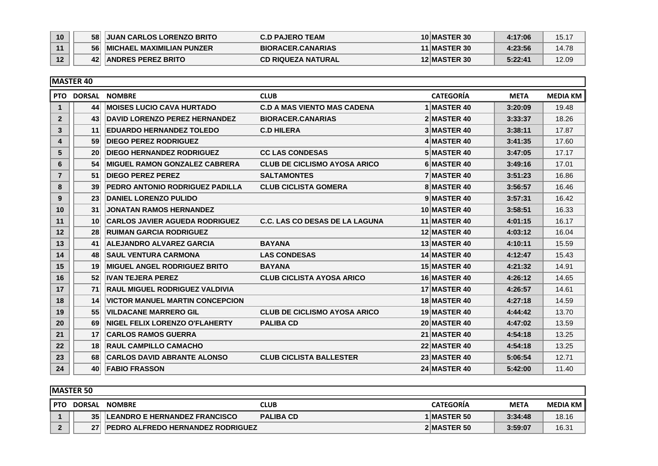| 10 | 58 <sup>1</sup> | <b>JUAN CARLOS LORENZO BRITO</b>  | <b>C.D PAJERO TEAM</b>    | 10 MASTER 30        | 4:17:06 | 15.17 |
|----|-----------------|-----------------------------------|---------------------------|---------------------|---------|-------|
|    | 56 <sup>1</sup> | <b>IMICHAEL MAXIMILIAN PUNZER</b> | <b>BIORACER.CANARIAS</b>  | 11 MASTER 30        | 4:23:56 | 14.78 |
| 12 | 42              | <b>ANDRES PEREZ BRITO</b>         | <b>CD RIQUEZA NATURAL</b> | <b>12 MASTER 30</b> | 5:22:41 | 12.09 |

|                | <b>MASTER 40</b> |                                        |                                       |                     |             |                 |
|----------------|------------------|----------------------------------------|---------------------------------------|---------------------|-------------|-----------------|
|                |                  | PTO DORSAL NOMBRE                      | <b>CLUB</b>                           | <b>CATEGORÍA</b>    | <b>META</b> | <b>MEDIA KM</b> |
| $\mathbf{1}$   | 44               | <b>MOISES LUCIO CAVA HURTADO</b>       | <b>C.D A MAS VIENTO MAS CADENA</b>    | 1 MASTER 40         | 3:20:09     | 19.48           |
| $\overline{2}$ | 43 <sup>1</sup>  | <b>DAVID LORENZO PEREZ HERNANDEZ</b>   | <b>BIORACER.CANARIAS</b>              | 2 MASTER 40         | 3:33:37     | 18.26           |
| 3              | 11               | <b>EDUARDO HERNANDEZ TOLEDO</b>        | <b>C.D HILERA</b>                     | 3 MASTER 40         | 3:38:11     | 17.87           |
| 4              | 59               | <b>DIEGO PEREZ RODRIGUEZ</b>           |                                       | 4 MASTER 40         | 3:41:35     | 17.60           |
| 5              | 20 <sup>1</sup>  | <b>DIEGO HERNANDEZ RODRIGUEZ</b>       | <b>CC LAS CONDESAS</b>                | 5 MASTER 40         | 3:47:05     | 17.17           |
| 6              | 54               | <b>MIGUEL RAMON GONZALEZ CABRERA</b>   | <b>CLUB DE CICLISMO AYOSA ARICO</b>   | 6 MASTER 40         | 3:49:16     | 17.01           |
| $\overline{7}$ | 51               | <b>DIEGO PEREZ PEREZ</b>               | <b>SALTAMONTES</b>                    | 7 MASTER 40         | 3:51:23     | 16.86           |
| 8              | 39 <sup>°</sup>  | <b>PEDRO ANTONIO RODRIGUEZ PADILLA</b> | <b>CLUB CICLISTA GOMERA</b>           | 8 MASTER 40         | 3:56:57     | 16.46           |
| 9              | 23 <sup>1</sup>  | <b>DANIEL LORENZO PULIDO</b>           |                                       | 9 MASTER 40         | 3:57:31     | 16.42           |
| 10             | 31               | <b>JONATAN RAMOS HERNANDEZ</b>         |                                       | 10 MASTER 40        | 3:58:51     | 16.33           |
| 11             | 10 <sup>1</sup>  | <b>CARLOS JAVIER AGUEDA RODRIGUEZ</b>  | <b>C.C. LAS CO DESAS DE LA LAGUNA</b> | 11 MASTER 40        | 4:01:15     | 16.17           |
| 12             | 28               | <b>RUIMAN GARCIA RODRIGUEZ</b>         |                                       | 12 MASTER 40        | 4:03:12     | 16.04           |
| 13             | 41               | <b>ALEJANDRO ALVAREZ GARCIA</b>        | <b>BAYANA</b>                         | 13 MASTER 40        | 4:10:11     | 15.59           |
| 14             | 48               | <b>SAUL VENTURA CARMONA</b>            | <b>LAS CONDESAS</b>                   | 14 MASTER 40        | 4:12:47     | 15.43           |
| 15             | 19 <sup>1</sup>  | <b>MIGUEL ANGEL RODRIGUEZ BRITO</b>    | <b>BAYANA</b>                         | 15 MASTER 40        | 4:21:32     | 14.91           |
| 16             | 52               | <b>IVAN TEJERA PEREZ</b>               | <b>CLUB CICLISTA AYOSA ARICO</b>      | 16 MASTER 40        | 4:26:12     | 14.65           |
| 17             | 71               | <b>RAUL MIGUEL RODRIGUEZ VALDIVIA</b>  |                                       | <b>17 MASTER 40</b> | 4:26:57     | 14.61           |
| 18             | 14               | <b>VICTOR MANUEL MARTIN CONCEPCION</b> |                                       | 18 MASTER 40        | 4:27:18     | 14.59           |
| 19             | 55               | <b>VILDACANE MARRERO GIL</b>           | <b>CLUB DE CICLISMO AYOSA ARICO</b>   | 19 MASTER 40        | 4:44:42     | 13.70           |
| 20             | 69               | <b>NIGEL FELIX LORENZO O'FLAHERTY</b>  | <b>PALIBA CD</b>                      | 20 MASTER 40        | 4:47:02     | 13.59           |
| 21             | 17 <sup>1</sup>  | <b>CARLOS RAMOS GUERRA</b>             |                                       | <b>21 MASTER 40</b> | 4:54:18     | 13.25           |
| 22             | 18 <sup>1</sup>  | <b>RAUL CAMPILLO CAMACHO</b>           |                                       | 22 MASTER 40        | 4:54:18     | 13.25           |
| 23             | 68               | <b>CARLOS DAVID ABRANTE ALONSO</b>     | <b>CLUB CICLISTA BALLESTER</b>        | <b>23 MASTER 40</b> | 5:06:54     | 12.71           |
| 24             | 40               | <b>FABIO FRASSON</b>                   |                                       | 24 MASTER 40        | 5:42:00     | 11.40           |

|         | <b>IMASTER 50</b> |                                           |                  |  |                  |             |                   |  |  |
|---------|-------------------|-------------------------------------------|------------------|--|------------------|-------------|-------------------|--|--|
| I PTO I | <b>DORSAL</b>     | <b>NOMBRE</b>                             | CLUB             |  | <b>CATEGORIA</b> | <b>META</b> | <b>MEDIA KM I</b> |  |  |
|         | 35                | <b>LEANDRO E HERNANDEZ FRANCISCO</b>      | <b>PALIBA CD</b> |  | 1 MASTER 50      | 3:34:48     | 18.16             |  |  |
|         | 27                | <b>IPEDRO ALFREDO HERNANDEZ RODRIGUEZ</b> |                  |  | 2 MASTER 50      | 3:59:07     | 16.31             |  |  |